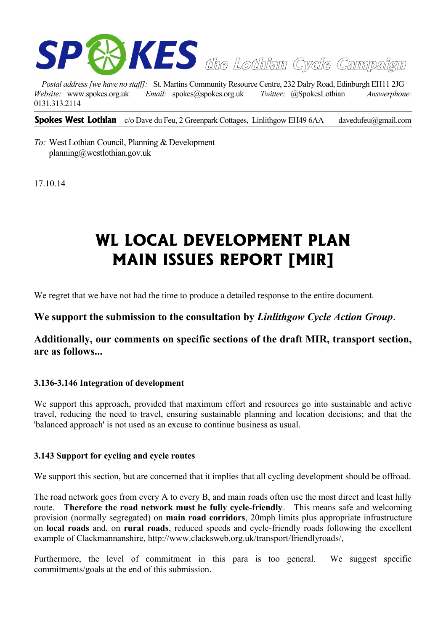

*Postal address [we have no staff]:* St. Martins Community Resource Centre, 232 Dalry Road, Edinburgh EH11 2JG *Website:* www.spokes.org.uk *Email:* spokes@spokes.org.uk *Twitter:* @SpokesLothian *Answerphone:* 0131.313.2114

**Spokes West Lothian** c/o Dave du Feu, 2 Greenpark Cottages, Linlithgow EH49 6AA davedufeu@gmail.com

*To:* West Lothian Council, Planning & Development planning@westlothian.gov.uk

17.10.14

# **WL LOCAL DEVELOPMENT PLAN MAIN ISSUES REPORT [MIR]**

We regret that we have not had the time to produce a detailed response to the entire document.

# **We support the submission to the consultation by** *Linlithgow Cycle Action Group*.

**Additionally, our comments on specific sections of the draft MIR, transport section, are as follows...**

## **3.136-3.146 Integration of development**

We support this approach, provided that maximum effort and resources go into sustainable and active travel, reducing the need to travel, ensuring sustainable planning and location decisions; and that the 'balanced approach' is not used as an excuse to continue business as usual.

#### **3.143 Support for cycling and cycle routes**

We support this section, but are concerned that it implies that all cycling development should be offroad.

The road network goes from every A to every B, and main roads often use the most direct and least hilly route. **Therefore the road network must be fully cycle-friendly**. This means safe and welcoming provision (normally segregated) on **main road corridors**, 20mph limits plus appropriate infrastructure on **local roads** and, on **rural roads**, reduced speeds and cycle-friendly roads following the excellent example of Clackmannanshire, http://www.clacksweb.org.uk/transport/friendlyroads/,

Furthermore, the level of commitment in this para is too general. We suggest specific commitments/goals at the end of this submission.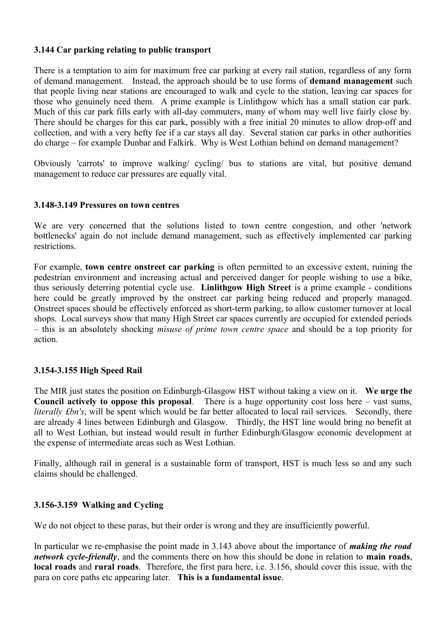## **3.144 Car parking relating to public transport**

There is a temptation to aim for maximum free car parking at every rail station, regardless of any form of demand management. Instead, the approach should be to use forms of **demand management** such that people living near stations are encouraged to walk and cycle to the station, leaving car spaces for those who genuinely need them. A prime example is Linlithgow which has a small station car park. Much of this car park fills early with all-day commuters, many of whom may well live fairly close by. There should be charges for this car park, possibly with a free initial 20 minutes to allow drop-off and collection, and with a very hefty fee if a car stays all day. Several station car parks in other authorities do charge – for example Dunbar and Falkirk. Why is West Lothian behind on demand management?

Obviously 'carrots' to improve walking/ cycling/ bus to stations are vital, but positive demand management to reduce car pressures are equally vital.

#### **3.148-3.149 Pressures on town centres**

We are very concerned that the solutions listed to town centre congestion, and other 'network bottlenecks' again do not include demand management, such as effectively implemented car parking restrictions.

For example, **town centre onstreet car parking** is often permitted to an excessive extent, ruining the pedestrian environment and increasing actual and perceived danger for people wishing to use a bike, thus seriously deterring potential cycle use. **Linlithgow High Street** is a prime example - conditions here could be greatly improved by the onstreet car parking being reduced and properly managed. Onstreet spaces should be effectively enforced as short-term parking, to allow customer turnover at local shops. Local surveys show that many High Street car spaces currently are occupied for extended periods – this is an absolutely shocking *misuse of prime town centre space* and should be a top priority for action.

## **3.154-3.155 High Speed Rail**

The MIR just states the position on Edinburgh-Glasgow HST without taking a view on it. **We urge the Council actively to oppose this proposal**. There is a huge opportunity cost loss here – vast sums, *literally £bn's*, will be spent which would be far better allocated to local rail services. Secondly, there are already 4 lines between Edinburgh and Glasgow. Thirdly, the HST line would bring no benefit at all to West Lothian, but instead would result in further Edinburgh/Glasgow economic development at the expense of intermediate areas such as West Lothian.

Finally, although rail in general is a sustainable form of transport, HST is much less so and any such claims should be challenged.

#### **3.156-3.159 Walking and Cycling**

We do not object to these paras, but their order is wrong and they are insufficiently powerful.

In particular we re-emphasise the point made in 3.143 above about the importance of *making the road network cycle-friendly*, and the comments there on how this should be done in relation to **main roads**, **local roads** and **rural roads**. Therefore, the first para here, i.e. 3.156, should cover this issue, with the para on core paths etc appearing later. **This is a fundamental issue**.